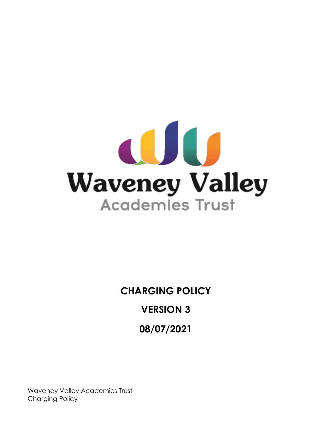

# **CHARGING POLICY VERSION 3 08/07/2021**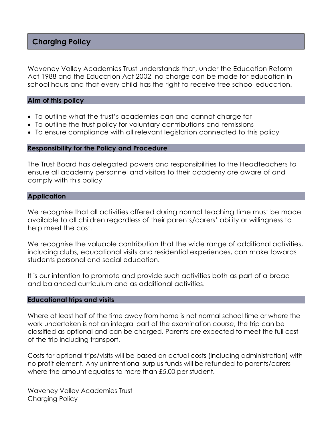# **Charging Policy**

Waveney Valley Academies Trust understands that, under the Education Reform Act 1988 and the Education Act 2002, no charge can be made for education in school hours and that every child has the right to receive free school education.

## **Aim of this policy**

- To outline what the trust's academies can and cannot charge for
- To outline the trust policy for voluntary contributions and remissions
- To ensure compliance with all relevant legislation connected to this policy

#### **Responsibility for the Policy and Procedure**

The Trust Board has delegated powers and responsibilities to the Headteachers to ensure all academy personnel and visitors to their academy are aware of and comply with this policy

#### **Application**

We recognise that all activities offered during normal teaching time must be made available to all children regardless of their parents/carers' ability or willingness to help meet the cost.

We recognise the valuable contribution that the wide range of additional activities, including clubs, educational visits and residential experiences, can make towards students personal and social education.

It is our intention to promote and provide such activities both as part of a broad and balanced curriculum and as additional activities.

#### **Educational trips and visits**

Where at least half of the time away from home is not normal school time or where the work undertaken is not an integral part of the examination course, the trip can be classified as optional and can be charged. Parents are expected to meet the full cost of the trip including transport.

Costs for optional trips/visits will be based on actual costs (including administration) with no profit element. Any unintentional surplus funds will be refunded to parents/carers where the amount equates to more than £5.00 per student.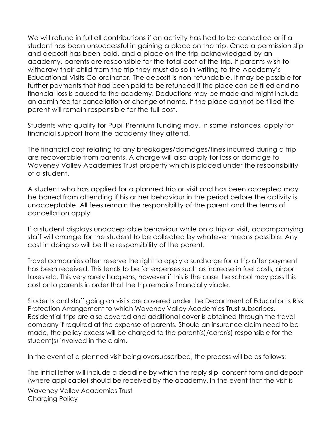We will refund in full all contributions if an activity has had to be cancelled or if a student has been unsuccessful in gaining a place on the trip. Once a permission slip and deposit has been paid, and a place on the trip acknowledged by an academy, parents are responsible for the total cost of the trip. If parents wish to withdraw their child from the trip they must do so in writing to the Academy's Educational Visits Co-ordinator. The deposit is non-refundable. It may be possible for further payments that had been paid to be refunded if the place can be filled and no financial loss is caused to the academy. Deductions may be made and might include an admin fee for cancellation or change of name. If the place cannot be filled the parent will remain responsible for the full cost.

Students who qualify for Pupil Premium funding may, in some instances, apply for financial support from the academy they attend.

The financial cost relating to any breakages/damages/fines incurred during a trip are recoverable from parents. A charge will also apply for loss or damage to Waveney Valley Academies Trust property which is placed under the responsibility of a student.

A student who has applied for a planned trip or visit and has been accepted may be barred from attending if his or her behaviour in the period before the activity is unacceptable. All fees remain the responsibility of the parent and the terms of cancellation apply.

If a student displays unacceptable behaviour while on a trip or visit, accompanying staff will arrange for the student to be collected by whatever means possible. Any cost in doing so will be the responsibility of the parent.

Travel companies often reserve the right to apply a surcharge for a trip after payment has been received. This tends to be for expenses such as increase in fuel costs, airport taxes etc. This very rarely happens, however if this is the case the school may pass this cost onto parents in order that the trip remains financially viable.

Students and staff going on visits are covered under the Department of Education's Risk Protection Arrangement to which Waveney Valley Academies Trust subscribes. Residential trips are also covered and additional cover is obtained through the travel company if required at the expense of parents. Should an insurance claim need to be made, the policy excess will be charged to the parent(s)/carer(s) responsible for the student(s) involved in the claim.

In the event of a planned visit being oversubscribed, the process will be as follows:

The initial letter will include a deadline by which the reply slip, consent form and deposit (where applicable) should be received by the academy. In the event that the visit is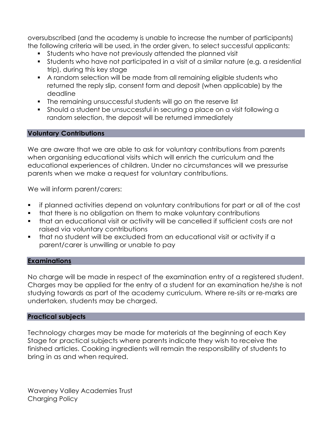oversubscribed (and the academy is unable to increase the number of participants) the following criteria will be used, in the order given, to select successful applicants:

- Students who have not previously attended the planned visit
- Students who have not participated in a visit of a similar nature (e.g. a residential trip), during this key stage
- A random selection will be made from all remaining eligible students who returned the reply slip, consent form and deposit (when applicable) by the deadline
- The remaining unsuccessful students will go on the reserve list
- Should a student be unsuccessful in securing a place on a visit following a random selection, the deposit will be returned immediately

# **Voluntary Contributions**

We are aware that we are able to ask for voluntary contributions from parents when organising educational visits which will enrich the curriculum and the educational experiences of children. Under no circumstances will we pressurise parents when we make a request for voluntary contributions.

We will inform parent/carers:

- if planned activities depend on voluntary contributions for part or all of the cost
- that there is no obligation on them to make voluntary contributions
- **•** that an educational visit or activity will be cancelled if sufficient costs are not raised via voluntary contributions
- that no student will be excluded from an educational visit or activity if a parent/carer is unwilling or unable to pay

# **Examinations**

No charge will be made in respect of the examination entry of a registered student. Charges may be applied for the entry of a student for an examination he/she is not studying towards as part of the academy curriculum. Where re-sits or re-marks are undertaken, students may be charged.

# **Practical subjects**

Technology charges may be made for materials at the beginning of each Key Stage for practical subjects where parents indicate they wish to receive the finished articles. Cooking ingredients will remain the responsibility of students to bring in as and when required.